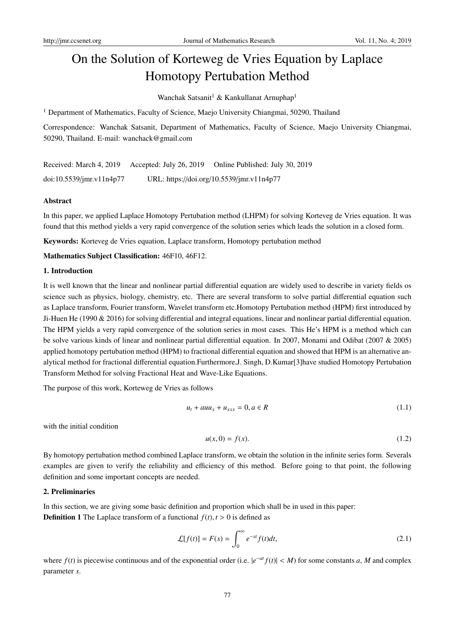# On the Solution of Korteweg de Vries Equation by Laplace Homotopy Pertubation Method

Wanchak Satsanit<sup>1</sup> & Kankullanat Arnuphap<sup>1</sup>

<sup>1</sup> Department of Mathematics, Faculty of Science, Maejo University Chiangmai, 50290, Thailand

Correspondence: Wanchak Satsanit, Department of Mathematics, Faculty of Science, Maejo University Chiangmai, 50290, Thailand. E-mail: wanchack@gmail.com

Received: March 4, 2019 Accepted: July 26, 2019 Online Published: July 30, 2019 doi:10.5539/jmr.v11n4p77 URL: https://doi.org/10.5539/jmr.v11n4p77

#### Abstract

In this paper, we applied Laplace Homotopy Pertubation method (LHPM) for solving Korteveg de Vries equation. It was found that this method yields a very rapid convergence of the solution series which leads the solution in a closed form.

Keywords: Korteveg de Vries equation, Laplace transform, Homotopy pertubation method

Mathematics Subject Classification: 46F10, 46F12.

#### 1. Introduction

It is well known that the linear and nonlinear partial differential equation are widely used to describe in variety fields os science such as physics, biology, chemistry, etc. There are several transform to solve partial differential equation such as Laplace transform, Fourier transform, Wavelet transform etc.Homotopy Pertubation method (HPM) first introduced by Ji-Huen He (1990 & 2016) for solving differential and integral equations, linear and nonlinear partial differential equation. The HPM yields a very rapid convergence of the solution series in most cases. This He's HPM is a method which can be solve various kinds of linear and nonlinear partial differential equation. In 2007, Monami and Odibat (2007 & 2005) applied homotopy pertubation method (HPM) to fractional differential equation and showed that HPM is an alternative analytical method for fractional differential equation.Furthermore,J. Singh, D.Kumar[3]have studied Homotopy Pertubation Transform Method for solving Fractional Heat and Wave-Like Equations.

The purpose of this work, Korteweg de Vries as follows

$$
u_t + a u u_x + u_{xxx} = 0, a \in R \tag{1.1}
$$

with the initial condition

$$
u(x,0) = f(x). \tag{1.2}
$$

By homotopy pertubation method combined Laplace transform, we obtain the solution in the infinite series form. Severals examples are given to verify the reliability and efficiency of this method. Before going to that point, the following definition and some important concepts are needed.

## 2. Preliminaries

In this section, we are giving some basic definition and proportion which shall be in used in this paper: **Definition 1** The Laplace transform of a functional  $f(t)$ ,  $t > 0$  is defined as

$$
\mathcal{L}[f(t)] = F(s) = \int_0^\infty e^{-st} f(t)dt,\tag{2.1}
$$

where  $f(t)$  is piecewise continuous and of the exponential order (i.e.  $|e^{-at}f(t)| < M$ ) for some constants *a*, *M* and complex parameter *s*.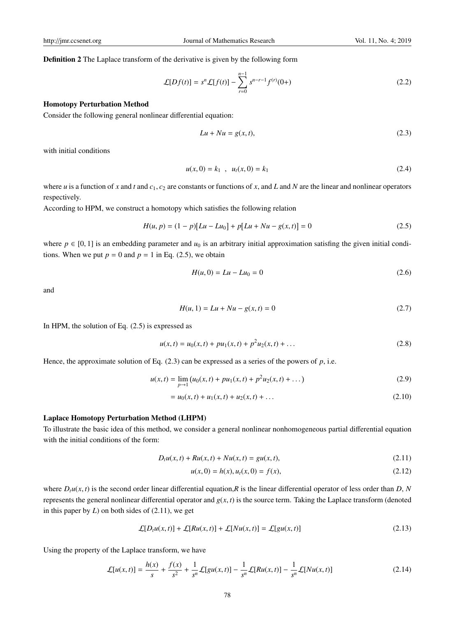Definition 2 The Laplace transform of the derivative is given by the following form

$$
\mathcal{L}[Df(t)] = s^n \mathcal{L}[f(t)] - \sum_{r=0}^{n-1} s^{n-r-1} f^{(r)}(0+)
$$
\n(2.2)

#### Homotopy Perturbation Method

Consider the following general nonlinear differential equation:

$$
Lu + Nu = g(x, t),\tag{2.3}
$$

with initial conditions

$$
u(x,0) = k_1 , u_t(x,0) = k_1
$$
 (2.4)

where *u* is a function of *x* and *t* and  $c_1$ ,  $c_2$  are constants or functions of *x*, and *L* and *N* are the linear and nonlinear operators respectively.

According to HPM, we construct a homotopy which satisfies the following relation

$$
H(u, p) = (1 - p)[Lu - Lu_0] + p[Lu + Nu - g(x, t)] = 0
$$
\n(2.5)

where  $p \in [0, 1]$  is an embedding parameter and  $u_0$  is an arbitrary initial approximation satisfing the given initial conditions. When we put  $p = 0$  and  $p = 1$  in Eq. (2.5), we obtain

$$
H(u,0) = Lu - Lu_0 = 0
$$
\n(2.6)

and

$$
H(u, 1) = Lu + Nu - g(x, t) = 0
$$
\n(2.7)

In HPM, the solution of Eq. (2.5) is expressed as

$$
u(x,t) = u_0(x,t) + pu_1(x,t) + p^2 u_2(x,t) + \dots
$$
\n(2.8)

Hence, the approximate solution of Eq.  $(2.3)$  can be expressed as a series of the powers of  $p$ , i.e.

$$
u(x,t) = \lim_{p \to 1} \left( u_0(x,t) + pu_1(x,t) + p^2 u_2(x,t) + \dots \right) \tag{2.9}
$$

$$
= u_0(x,t) + u_1(x,t) + u_2(x,t) + \dots \tag{2.10}
$$

#### Laplace Homotopy Perturbation Method (LHPM)

To illustrate the basic idea of this method, we consider a general nonlinear nonhomogeneous partial differential equation with the initial conditions of the form:

$$
D_t u(x, t) + R u(x, t) + N u(x, t) = gu(x, t),
$$
\n(2.11)

$$
u(x,0) = h(x), u_t(x,0) = f(x),
$$
\n(2.12)

where  $D_t u(x, t)$  is the second order linear differential equation, R is the linear differential operator of less order than  $D$ ,  $N$ represents the general nonlinear differential operator and  $g(x, t)$  is the source term. Taking the Laplace transform (denoted in this paper by *L*) on both sides of (2.11), we get

$$
\mathcal{L}[D_t u(x,t)] + \mathcal{L}[Ru(x,t)] + \mathcal{L}[Nu(x,t)] = \mathcal{L}[gu(x,t)] \qquad (2.13)
$$

Using the property of the Laplace transform, we have

$$
\mathcal{L}[u(x,t)] = \frac{h(x)}{s} + \frac{f(x)}{s^2} + \frac{1}{s^n} \mathcal{L}[gu(x,t)] - \frac{1}{s^n} \mathcal{L}[Ru(x,t)] - \frac{1}{s^n} \mathcal{L}[Nu(x,t)] \tag{2.14}
$$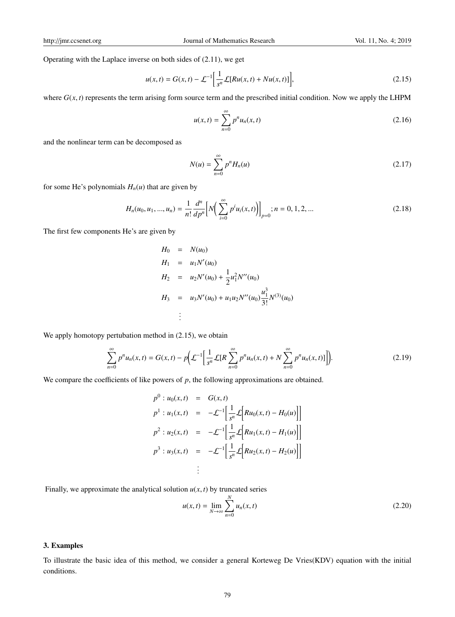Operating with the Laplace inverse on both sides of (2.11), we get

$$
u(x,t) = G(x,t) - \mathcal{L}^{-1} \left[ \frac{1}{s^n} \mathcal{L}[Ru(x,t) + Nu(x,t)] \right],
$$
 (2.15)

where  $G(x, t)$  represents the term arising form source term and the prescribed initial condition. Now we apply the LHPM

$$
u(x,t) = \sum_{n=0}^{\infty} p^n u_n(x,t)
$$
 (2.16)

and the nonlinear term can be decomposed as

$$
N(u) = \sum_{n=0}^{\infty} p^n H_n(u) \tag{2.17}
$$

for some He's polynomials  $H_n(u)$  that are given by

$$
H_n(u_0, u_1, ..., u_n) = \frac{1}{n!} \frac{d^n}{dp^n} \Big[ N \Big( \sum_{i=0}^{\infty} p^i u_i(x, t) \Big) \Big]_{p=0}; n = 0, 1, 2, ... \tag{2.18}
$$

The first few components He's are given by

$$
H_0 = N(u_0)
$$
  
\n
$$
H_1 = u_1 N'(u_0)
$$
  
\n
$$
H_2 = u_2 N'(u_0) + \frac{1}{2} u_1^2 N''(u_0)
$$
  
\n
$$
H_3 = u_3 N'(u_0) + u_1 u_2 N''(u_0) \frac{u_1^3}{3!} N^{(3)}(u_0)
$$
  
\n
$$
\vdots
$$

We apply homotopy pertubation method in  $(2.15)$ , we obtain

$$
\sum_{n=0}^{\infty} p^n u_n(x,t) = G(x,t) - p \Big( \mathcal{L}^{-1} \Big[ \frac{1}{s^n} \mathcal{L} \Big[ R \sum_{n=0}^{\infty} p^n u_n(x,t) + N \sum_{n=0}^{\infty} p^n u_n(x,t) \Big] \Big].
$$
 (2.19)

We compare the coefficients of like powers of *p*, the following approximations are obtained.

$$
p^{0}: u_{0}(x, t) = G(x, t)
$$
\n
$$
p^{1}: u_{1}(x, t) = -\mathcal{L}^{-1} \Big[ \frac{1}{s^{n}} \mathcal{L} \Big[ Ru_{0}(x, t) - H_{0}(u) \Big] \Big]
$$
\n
$$
p^{2}: u_{2}(x, t) = -\mathcal{L}^{-1} \Big[ \frac{1}{s^{n}} \mathcal{L} \Big[ Ru_{1}(x, t) - H_{1}(u) \Big] \Big]
$$
\n
$$
p^{3}: u_{3}(x, t) = -\mathcal{L}^{-1} \Big[ \frac{1}{s^{n}} \mathcal{L} \Big[ Ru_{2}(x, t) - H_{2}(u) \Big] \Big]
$$
\n
$$
\vdots
$$

Finally, we approximate the analytical solution  $u(x, t)$  by truncated series

$$
u(x,t) = \lim_{N \to \infty} \sum_{n=0}^{N} u_n(x,t)
$$
 (2.20)

## 3. Examples

To illustrate the basic idea of this method, we consider a general Korteweg De Vries(KDV) equation with the initial conditions.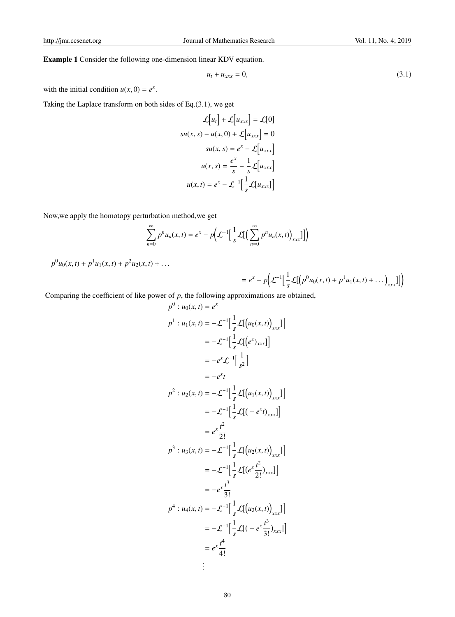Example 1 Consider the following one-dimension linear KDV equation.

$$
u_t + u_{xxx} = 0,\t\t(3.1)
$$

with the initial condition  $u(x, 0) = e^x$ .

Taking the Laplace transform on both sides of Eq.(3.1), we get

$$
\mathcal{L}[u_t] + \mathcal{L}[u_{xxx}] = \mathcal{L}[0]
$$
  

$$
su(x, s) - u(x, 0) + \mathcal{L}[u_{xxx}] = 0
$$
  

$$
su(x, s) = e^x - \mathcal{L}[u_{xxx}]
$$
  

$$
u(x, s) = \frac{e^x}{s} - \frac{1}{s}\mathcal{L}[u_{xxx}]
$$
  

$$
u(x, t) = e^x - \mathcal{L}^{-1}[\frac{1}{s}\mathcal{L}[u_{xxx}]]
$$

Now,we apply the homotopy perturbation method,we get

$$
\sum_{n=0}^{\infty} p^n u_n(x,t) = e^x - p \Big( \mathcal{L}^{-1} \Big[ \frac{1}{s} \mathcal{L} \Big[ \Big( \sum_{n=0}^{\infty} p^n u_n(x,t) \Big)_{xxx} \Big] \Big] \Big)
$$

 $p^0u_0(x,t) + p^1u_1(x,t) + p^2u_2(x,t) + \ldots$ 

$$
= e^x - p \Big( \mathcal{L}^{-1} \Big[ \frac{1}{s} \mathcal{L} \Big[ \Big( p^0 u_0(x,t) + p^1 u_1(x,t) + \dots \Big)_{xxx} \Big] \Big] \Big)
$$

Comparing the coefficient of like power of  $p$ , the following approximations are obtained,

$$
p^{0}: u_{0}(x, t) = e^{x}
$$
\n
$$
p^{1}: u_{1}(x, t) = -\mathcal{L}^{-1} \Big[ \frac{1}{s} \mathcal{L}[(u_{0}(x, t))_{xxx}] \Big]
$$
\n
$$
= -\mathcal{L}^{-1} \Big[ \frac{1}{s} \mathcal{L}[(e^{x})_{xxx}] \Big]
$$
\n
$$
= -e^{x} \mathcal{L}^{-1} \Big[ \frac{1}{s^{2}} \Big]
$$
\n
$$
= -e^{x} t
$$
\n
$$
p^{2}: u_{2}(x, t) = -\mathcal{L}^{-1} \Big[ \frac{1}{s} \mathcal{L}[(u_{1}(x, t))_{xxx}] \Big]
$$
\n
$$
= -\mathcal{L}^{-1} \Big[ \frac{1}{s} \mathcal{L}[(-e^{x} t)_{xxx}] \Big]
$$
\n
$$
= e^{x} \frac{t^{2}}{2!}
$$
\n
$$
p^{3}: u_{3}(x, t) = -\mathcal{L}^{-1} \Big[ \frac{1}{s} \mathcal{L}[(u_{2}(x, t))_{xxx}] \Big]
$$
\n
$$
= -\mathcal{L}^{-1} \Big[ \frac{1}{s} \mathcal{L}[(e^{x} \frac{t^{2}}{2!})_{xxx}] \Big]
$$
\n
$$
= -e^{x} \frac{t^{3}}{3!}
$$
\n
$$
p^{4}: u_{4}(x, t) = -\mathcal{L}^{-1} \Big[ \frac{1}{s} \mathcal{L}[(u_{3}(x, t))_{xxx}] \Big]
$$
\n
$$
= -\mathcal{L}^{-1} \Big[ \frac{1}{s} \mathcal{L}[(-e^{x} \frac{t^{3}}{3!})_{xxx}] \Big]
$$
\n
$$
= e^{x} \frac{t^{4}}{4!}
$$
\n
$$
\vdots
$$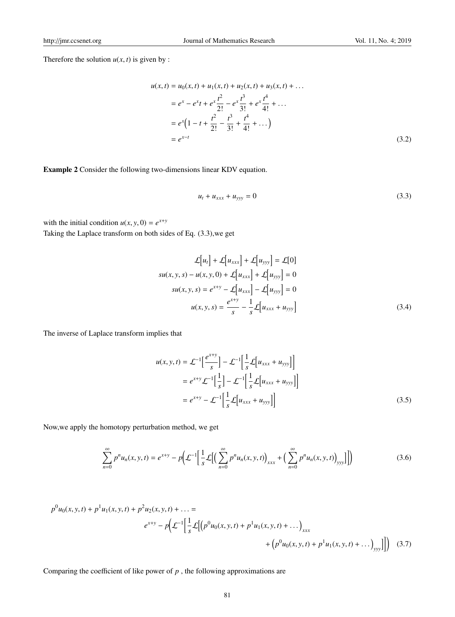Therefore the solution  $u(x, t)$  is given by :

$$
u(x,t) = u_0(x,t) + u_1(x,t) + u_2(x,t) + u_3(x,t) + \dots
$$
  
\n
$$
= e^x - e^x t + e^x \frac{t^2}{2!} - e^x \frac{t^3}{3!} + e^x \frac{t^4}{4!} + \dots
$$
  
\n
$$
= e^x \left(1 - t + \frac{t^2}{2!} - \frac{t^3}{3!} + \frac{t^4}{4!} + \dots\right)
$$
  
\n
$$
= e^{x-t}
$$
 (3.2)

Example 2 Consider the following two-dimensions linear KDV equation.

$$
u_t + u_{xxx} + u_{yyy} = 0 \t\t(3.3)
$$

with the initial condition  $u(x, y, 0) = e^{x+y}$ 

Taking the Laplace transform on both sides of Eq. (3.3),we get

$$
\mathcal{L}[u_t] + \mathcal{L}[u_{xxx}] + \mathcal{L}[u_{yyy}] = \mathcal{L}[0]
$$
  

$$
su(x, y, s) - u(x, y, 0) + \mathcal{L}[u_{xxx}] + \mathcal{L}[u_{yyy}] = 0
$$
  

$$
su(x, y, s) = e^{x+y} - \mathcal{L}[u_{xxx}] - \mathcal{L}[u_{yyy}] = 0
$$
  

$$
u(x, y, s) = \frac{e^{x+y}}{s} - \frac{1}{s}\mathcal{L}[u_{xxx} + u_{yyy}]
$$
 (3.4)

The inverse of Laplace transform implies that

$$
u(x, y, t) = \mathcal{L}^{-1} \left[ \frac{e^{x+y}}{s} \right] - \mathcal{L}^{-1} \left[ \frac{1}{s} \mathcal{L} \left[ u_{xxx} + u_{yyy} \right] \right]
$$
  
=  $e^{x+y} \mathcal{L}^{-1} \left[ \frac{1}{s} \right] - \mathcal{L}^{-1} \left[ \frac{1}{s} \mathcal{L} \left[ u_{xxx} + u_{yyy} \right] \right]$   
=  $e^{x+y} - \mathcal{L}^{-1} \left[ \frac{1}{s} \mathcal{L} \left[ u_{xxx} + u_{yyy} \right] \right]$  (3.5)

Now,we apply the homotopy perturbation method, we get

$$
\sum_{n=0}^{\infty} p^n u_n(x, y, t) = e^{x+y} - p \Big( \mathcal{L}^{-1} \Big[ \frac{1}{s} \mathcal{L} \Big[ \Big( \sum_{n=0}^{\infty} p^n u_n(x, y, t) \Big)_{xxx} + \Big( \sum_{n=0}^{\infty} p^n u_n(x, y, t) \Big)_{yy} \Big] \Big] \Big)
$$
(3.6)

$$
p^{0}u_{0}(x, y, t) + p^{1}u_{1}(x, y, t) + p^{2}u_{2}(x, y, t) + \dots =
$$
\n
$$
e^{x+y} - p\left(\mathcal{L}^{-1}\left[\frac{1}{s}\mathcal{L}\left[(p^{0}u_{0}(x, y, t) + p^{1}u_{1}(x, y, t) + \dots\right]_{xxx}\right] + \left(p^{0}u_{0}(x, y, t) + p^{1}u_{1}(x, y, t) + \dots\right)_{yyy}\right]\right)
$$
\n(3.7)

Comparing the coefficient of like power of *p* , the following approximations are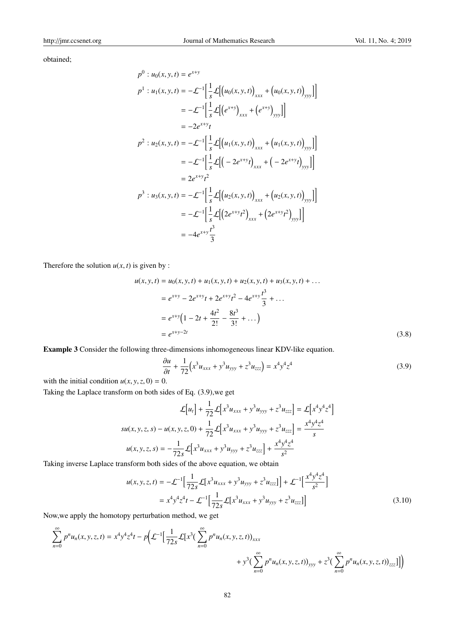obtained;

$$
p^{0}: u_{0}(x, y, t) = e^{x+y}
$$
\n
$$
p^{1}: u_{1}(x, y, t) = -\mathcal{L}^{-1} \Big[ \frac{1}{s} \mathcal{L} \Big[ \big( u_{0}(x, y, t) \big)_{xxx} + \big( u_{0}(x, y, t) \big)_{yyy} \Big] \Big]
$$
\n
$$
= -\mathcal{L}^{-1} \Big[ \frac{1}{s} \mathcal{L} \Big[ \big( e^{x+y} \big)_{xxx} + \big( e^{x+y} \big)_{yyy} \Big] \Big]
$$
\n
$$
= -2e^{x+y}t
$$
\n
$$
p^{2}: u_{2}(x, y, t) = -\mathcal{L}^{-1} \Big[ \frac{1}{s} \mathcal{L} \Big[ \big( u_{1}(x, y, t) \big)_{xxx} + \big( u_{1}(x, y, t) \big)_{yyy} \Big] \Big]
$$
\n
$$
= -\mathcal{L}^{-1} \Big[ \frac{1}{s} \mathcal{L} \Big[ \big( -2e^{x+y}t \big)_{xxx} + \big( -2e^{x+y}t \big)_{yyy} \Big] \Big]
$$
\n
$$
= 2e^{x+y}t^{2}
$$
\n
$$
p^{3}: u_{3}(x, y, t) = -\mathcal{L}^{-1} \Big[ \frac{1}{s} \mathcal{L} \Big[ \big( u_{2}(x, y, t) \big)_{xxx} + \big( u_{2}(x, y, t) \big)_{yyy} \Big] \Big]
$$
\n
$$
= -\mathcal{L}^{-1} \Big[ \frac{1}{s} \mathcal{L} \Big[ \big( 2e^{x+y}t^{2} \big)_{xxx} + \big( 2e^{x+y}t^{2} \big)_{yyy} \Big] \Big]
$$
\n
$$
= -4e^{x+y} \frac{t^{3}}{3}
$$

Therefore the solution  $u(x, t)$  is given by :

$$
u(x, y, t) = u_0(x, y, t) + u_1(x, y, t) + u_2(x, y, t) + u_3(x, y, t) + \dots
$$
  
\n
$$
= e^{x+y} - 2e^{x+y}t + 2e^{x+y}t^2 - 4e^{x+y}\frac{t^3}{3} + \dots
$$
  
\n
$$
= e^{x+y}\left(1 - 2t + \frac{4t^2}{2!} - \frac{8t^3}{3!} + \dots\right)
$$
  
\n
$$
= e^{x+y-2t}
$$
 (3.8)

Example 3 Consider the following three-dimensions inhomogeneous linear KDV-like equation.

$$
\frac{\partial u}{\partial t} + \frac{1}{72} \left( x^3 u_{xxx} + y^3 u_{yyy} + z^3 u_{zzz} \right) = x^4 y^4 z^4 \tag{3.9}
$$

with the initial condition  $u(x, y, z, 0) = 0$ .

Taking the Laplace transform on both sides of Eq. (3.9),we get

$$
\mathcal{L}[u_t] + \frac{1}{72} \mathcal{L}[x^3 u_{xxx} + y^3 u_{yyy} + z^3 u_{zzz}] = \mathcal{L}[x^4 y^4 z^4]
$$
  

$$
su(x, y, z, s) - u(x, y, z, 0) + \frac{1}{72} \mathcal{L}[x^3 u_{xxx} + y^3 u_{yyy} + z^3 u_{zzz}] = \frac{x^4 y^4 z^4}{s}
$$
  

$$
u(x, y, z, s) = -\frac{1}{72s} \mathcal{L}[x^3 u_{xxx} + y^3 u_{yyy} + z^3 u_{zzz}] + \frac{x^4 y^4 z^4}{s^2}
$$

Taking inverse Laplace transform both sides of the above equation, we obtain

$$
u(x, y, z, t) = -\mathcal{L}^{-1} \Big[ \frac{1}{72s} \mathcal{L} \big[ x^3 u_{xxx} + y^3 u_{yyy} + z^3 u_{zzz} \big] \Big] + \mathcal{L}^{-1} \Big[ \frac{x^4 y^4 z^4}{s^2} \Big]
$$
  
=  $x^4 y^4 z^4 t - \mathcal{L}^{-1} \Big[ \frac{1}{72s} \mathcal{L} \big[ x^3 u_{xxx} + y^3 u_{yyy} + z^3 u_{zzz} \big] \Big]$  (3.10)

Now,we apply the homotopy perturbation method, we get

$$
\sum_{n=0}^{\infty} p^{n} u_{n}(x, y, z, t) = x^{4} y^{4} z^{4} t - p \bigg( \mathcal{L}^{-1} \Big[ \frac{1}{72s} \mathcal{L} \Big[ x^{3} \Big( \sum_{n=0}^{\infty} p^{n} u_{n}(x, y, z, t) \Big]_{xxx} + y^{3} \Big( \sum_{n=0}^{\infty} p^{n} u_{n}(x, y, z, t) \Big)_{yyy} + z^{3} \Big( \sum_{n=0}^{\infty} p^{n} u_{n}(x, y, z, t) \Big)_{zzz} \Big] \Big]
$$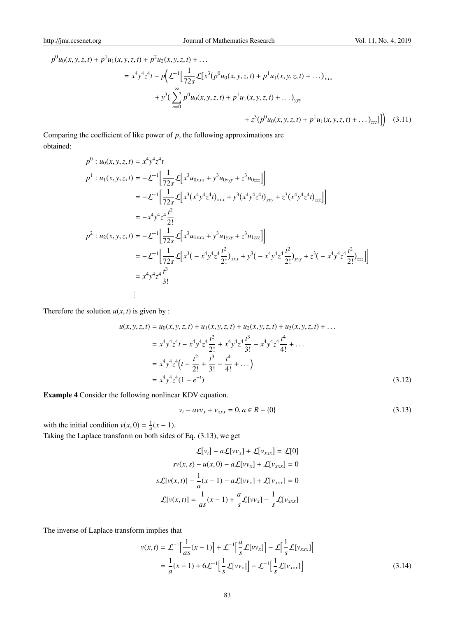$$
p^{0}u_{0}(x, y, z, t) + p^{1}u_{1}(x, y, z, t) + p^{2}u_{2}(x, y, z, t) + \dots
$$
\n
$$
= x^{4}y^{4}z^{4}t - p\left(\mathcal{L}^{-1}\left[\frac{1}{72s}\mathcal{L}[x^{3}(p^{0}u_{0}(x, y, z, t) + p^{1}u_{1}(x, y, z, t) + \dots]_{xxx}\right] + y^{3}\left(\sum_{n=0}^{\infty}p^{0}u_{0}(x, y, z, t) + p^{1}u_{1}(x, y, z, t) + \dots\right)_{yyy}\right) + z^{3}(p^{0}u_{0}(x, y, z, t) + p^{1}u_{1}(x, y, z, t) + \dots)_{zzz}]\right)
$$
(3.11)

Comparing the coefficient of like power of *p*, the following approximations are obtained;

$$
p^{0}: u_{0}(x, y, z, t) = x^{4}y^{4}z^{4}t
$$
\n
$$
p^{1}: u_{1}(x, y, z, t) = -\mathcal{L}^{-1}\Big[\frac{1}{72s}\mathcal{L}\Big[x^{3}u_{0xxx} + y^{3}u_{0yyy} + z^{3}u_{0zzz}\Big]\Big]
$$
\n
$$
= -\mathcal{L}^{-1}\Big[\frac{1}{72s}\mathcal{L}\Big[x^{3}(x^{4}y^{4}z^{4}t)_{xxx} + y^{3}(x^{4}y^{4}z^{4}t)_{yyy} + z^{3}(x^{4}y^{4}z^{4}t)_{zzz}\Big]\Big]
$$
\n
$$
= -x^{4}y^{4}z^{4}\frac{t^{2}}{2!}
$$
\n
$$
p^{2}: u_{2}(x, y, z, t) = -\mathcal{L}^{-1}\Big[\frac{1}{72s}\mathcal{L}\Big[x^{3}u_{1xxx} + y^{3}u_{1yyy} + z^{3}u_{1zzz}\Big]\Big]
$$
\n
$$
= -\mathcal{L}^{-1}\Big[\frac{1}{72s}\mathcal{L}\Big[x^{3}(-x^{4}y^{4}z^{4}\frac{t^{2}}{2!})_{xxx} + y^{3}(-x^{4}y^{4}z^{4}\frac{t^{2}}{2!})_{yyy} + z^{3}(-x^{4}y^{4}z^{4}\frac{t^{2}}{2!})_{zzz}\Big]\Big]
$$
\n
$$
= x^{4}y^{4}z^{4}\frac{t^{3}}{3!}
$$
\n
$$
\vdots
$$

Therefore the solution  $u(x, t)$  is given by :

$$
u(x, y, z, t) = u_0(x, y, z, t) + u_1(x, y, z, t) + u_2(x, y, z, t) + u_3(x, y, z, t) + \dots
$$
  
\n
$$
= x^4 y^4 z^4 t - x^4 y^4 z^4 \frac{t^2}{2!} + x^4 y^4 z^4 \frac{t^3}{3!} - x^4 y^4 z^4 \frac{t^4}{4!} + \dots
$$
  
\n
$$
= x^4 y^4 z^4 \left(t - \frac{t^2}{2!} + \frac{t^3}{3!} - \frac{t^4}{4!} + \dots\right)
$$
  
\n
$$
= x^4 y^4 z^4 (1 - e^{-t})
$$
\n(3.12)

Example 4 Consider the following nonlinear KDV equation.

$$
v_t - avv_x + v_{xxx} = 0, a \in R - \{0\}
$$
\n(3.13)

with the initial condition  $v(x, 0) = \frac{1}{a}(x - 1)$ .

Taking the Laplace transform on both sides of Eq. (3.13), we get

$$
\mathcal{L}[v_t] - a\mathcal{L}[vv_x] + \mathcal{L}[v_{xxx}] = \mathcal{L}[0]
$$

$$
sv(x, s) - u(x, 0) - a\mathcal{L}[vv_x] + \mathcal{L}[v_{xxx}] = 0
$$

$$
s\mathcal{L}[v(x, t)] - \frac{1}{a}(x - 1) - a\mathcal{L}[vv_x] + \mathcal{L}[v_{xxx}] = 0
$$

$$
\mathcal{L}[v(x, t)] = \frac{1}{as}(x - 1) + \frac{a}{s}\mathcal{L}[vv_x] - \frac{1}{s}\mathcal{L}[v_{xxx}]
$$

The inverse of Laplace transform implies that

$$
v(x,t) = \mathcal{L}^{-1} \Big[ \frac{1}{as}(x-1) \Big] + \mathcal{L}^{-1} \Big[ \frac{a}{s} \mathcal{L}[vv_x] \Big] - \mathcal{L} \Big[ \frac{1}{s} \mathcal{L}[v_{xxx}] \Big]
$$
  
=  $\frac{1}{a}(x-1) + 6\mathcal{L}^{-1} \Big[ \frac{1}{s} \mathcal{L}[vv_x] \Big] - \mathcal{L}^{-1} \Big[ \frac{1}{s} \mathcal{L}[v_{xxx}] \Big]$  (3.14)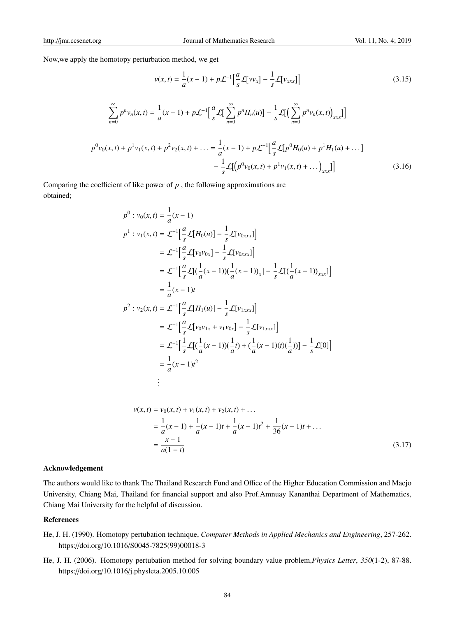Now,we apply the homotopy perturbation method, we get

$$
v(x,t) = \frac{1}{a}(x-1) + p\mathcal{L}^{-1}\Big[\frac{a}{s}\mathcal{L}[v v_x] - \frac{1}{s}\mathcal{L}[v_{xxx}]\Big]
$$
(3.15)  

$$
\sum_{n=0}^{\infty} p^n v_n(x,t) = \frac{1}{a}(x-1) + p\mathcal{L}^{-1}\Big[\frac{a}{s}\mathcal{L}\Big[\sum_{n=0}^{\infty} p^n H_n(u)\Big] - \frac{1}{s}\mathcal{L}\Big[\Big(\sum_{n=0}^{\infty} p^n v_n(x,t)\Big)_{xxx}\Big]\Big]
$$

$$
p^0 v_0(x,t) + p^1 v_1(x,t) + p^2 v_2(x,t) + \dots = \frac{1}{a}(x-1) + p\mathcal{L}^{-1}\Big[\frac{a}{s}\mathcal{L}[p^0 H_0(u) + p^1 H_1(u) + \dots] - \frac{1}{s}\mathcal{L}[\Big(p^0 v_0(x,t) + p^1 v_1(x,t) + \dots]_{xxx}\Big]\Big]
$$
(3.16)

Comparing the coefficient of like power of *p* , the following approximations are obtained;

$$
p^{0}: v_{0}(x, t) = \frac{1}{a}(x - 1)
$$
\n
$$
p^{1}: v_{1}(x, t) = \mathcal{L}^{-1} \Big[ \frac{a}{s} \mathcal{L}[H_{0}(u)] - \frac{1}{s} \mathcal{L}[v_{0xxx}] \Big]
$$
\n
$$
= \mathcal{L}^{-1} \Big[ \frac{a}{s} \mathcal{L}[v_{0}v_{0x}] - \frac{1}{s} \mathcal{L}[v_{0xxx}]\Big]
$$
\n
$$
= \mathcal{L}^{-1} \Big[ \frac{a}{s} \mathcal{L}[ (\frac{1}{a}(x - 1)) (\frac{1}{a}(x - 1))_{x}] - \frac{1}{s} \mathcal{L}[ (\frac{1}{a}(x - 1))_{xxx}]\Big]
$$
\n
$$
= \frac{1}{a}(x - 1)t
$$
\n
$$
p^{2}: v_{2}(x, t) = \mathcal{L}^{-1} \Big[ \frac{a}{s} \mathcal{L}[H_{1}(u)] - \frac{1}{s} \mathcal{L}[v_{1xxx}]\Big]
$$
\n
$$
= \mathcal{L}^{-1} \Big[ \frac{a}{s} \mathcal{L}[v_{0}v_{1x} + v_{1}v_{0x}] - \frac{1}{s} \mathcal{L}[v_{1xxx}]\Big]
$$
\n
$$
= \mathcal{L}^{-1} \Big[ \frac{1}{s} \mathcal{L}[ (\frac{1}{a}(x - 1)) (\frac{1}{a}t) + (\frac{1}{a}(x - 1)(t)(\frac{1}{a}))] - \frac{1}{s} \mathcal{L}[0]\Big]
$$
\n
$$
= \frac{1}{a}(x - 1)t^{2}
$$
\n
$$
\vdots
$$

$$
v(x,t) = v_0(x,t) + v_1(x,t) + v_2(x,t) + \dots
$$
  
=  $\frac{1}{a}(x-1) + \frac{1}{a}(x-1)t + \frac{1}{a}(x-1)t^2 + \frac{1}{36}(x-1)t + \dots$   
=  $\frac{x-1}{a(1-t)}$  (3.17)

## Acknowledgement

The authors would like to thank The Thailand Research Fund and Office of the Higher Education Commission and Maejo University, Chiang Mai, Thailand for financial support and also Prof.Amnuay Kananthai Department of Mathematics, Chiang Mai University for the helpful of discussion.

### References

- He, J. H. (1990). Homotopy pertubation technique, *Computer Methods in Applied Mechanics and Engineering*, 257-262. https://doi.org/10.1016/S0045-7825(99)00018-3
- He, J. H. (2006). Homotopy pertubation method for solving boundary value problem,*Physics Letter*, *350*(1-2), 87-88. https://doi.org/10.1016/j.physleta.2005.10.005